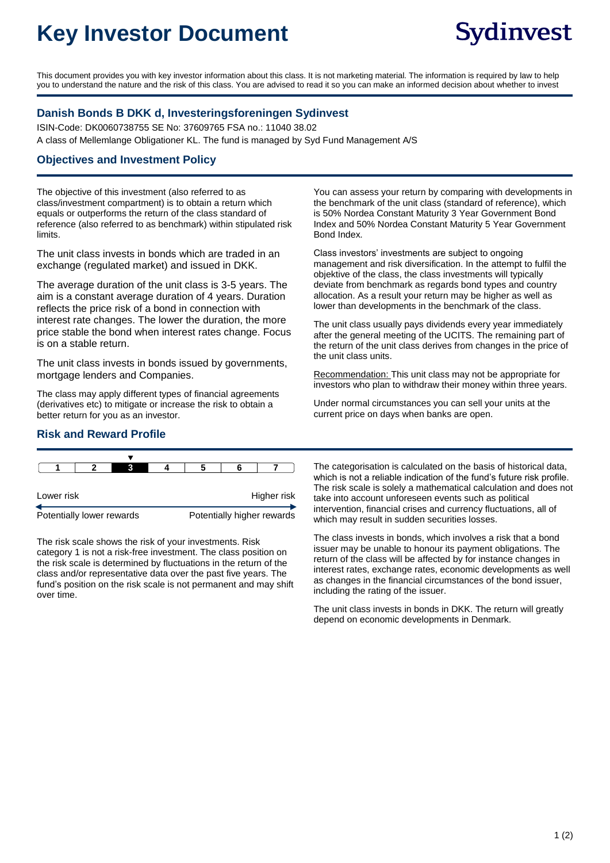# **Key Investor Document**

This document provides you with key investor information about this class. It is not marketing material. The information is required by law to help you to understand the nature and the risk of this class. You are advised to read it so you can make an informed decision about whether to invest

### **Danish Bonds B DKK d, Investeringsforeningen Sydinvest**

ISIN-Code: DK0060738755 SE No: 37609765 FSA no.: 11040 38.02 A class of Mellemlange Obligationer KL. The fund is managed by Syd Fund Management A/S

#### **Objectives and Investment Policy**

The objective of this investment (also referred to as class/investment compartment) is to obtain a return which equals or outperforms the return of the class standard of reference (also referred to as benchmark) within stipulated risk limits.

The unit class invests in bonds which are traded in an exchange (regulated market) and issued in DKK.

The average duration of the unit class is 3-5 years. The aim is a constant average duration of 4 years. Duration reflects the price risk of a bond in connection with interest rate changes. The lower the duration, the more price stable the bond when interest rates change. Focus is on a stable return.

The unit class invests in bonds issued by governments, mortgage lenders and Companies.

The class may apply different types of financial agreements (derivatives etc) to mitigate or increase the risk to obtain a better return for you as an investor.

You can assess your return by comparing with developments in the benchmark of the unit class (standard of reference), which is 50% Nordea Constant Maturity 3 Year Government Bond Index and 50% Nordea Constant Maturity 5 Year Government Bond Index.

Class investors' investments are subject to ongoing management and risk diversification. In the attempt to fulfil the objektive of the class, the class investments will typically deviate from benchmark as regards bond types and country allocation. As a result your return may be higher as well as lower than developments in the benchmark of the class.

The unit class usually pays dividends every year immediately after the general meeting of the UCITS. The remaining part of the return of the unit class derives from changes in the price of the unit class units.

Recommendation: This unit class may not be appropriate for investors who plan to withdraw their money within three years.

Under normal circumstances you can sell your units at the current price on days when banks are open.

#### **Risk and Reward Profile**



The risk scale shows the risk of your investments. Risk category 1 is not a risk-free investment. The class position on the risk scale is determined by fluctuations in the return of the class and/or representative data over the past five years. The fund's position on the risk scale is not permanent and may shift over time.

The categorisation is calculated on the basis of historical data, which is not a reliable indication of the fund's future risk profile. The risk scale is solely a mathematical calculation and does not take into account unforeseen events such as political intervention, financial crises and currency fluctuations, all of which may result in sudden securities losses.

The class invests in bonds, which involves a risk that a bond issuer may be unable to honour its payment obligations. The return of the class will be affected by for instance changes in interest rates, exchange rates, economic developments as well as changes in the financial circumstances of the bond issuer, including the rating of the issuer.

The unit class invests in bonds in DKK. The return will greatly depend on economic developments in Denmark.